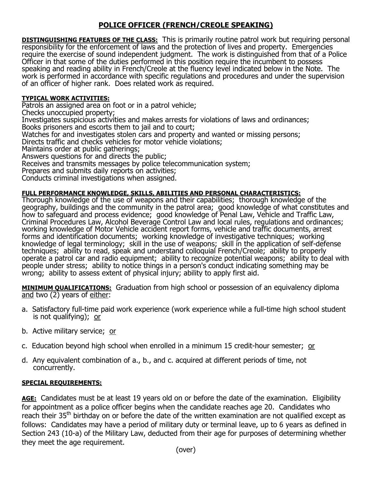# **POLICE OFFICER (FRENCH/CREOLE SPEAKING)**

**DISTINGUISHING FEATURES OF THE CLASS:** This is primarily routine patrol work but requiring personal responsibility for the enforcement of laws and the protection of lives and property. Emergencies require the exercise of sound independent judgment. The work is distinguished from that of a Police Officer in that some of the duties performed in this position require the incumbent to possess speaking and reading ability in French/Creole at the fluency level indicated below in the Note. The work is performed in accordance with specific regulations and procedures and under the supervision of an officer of higher rank. Does related work as required.

## **TYPICAL WORK ACTIVITIES:**

Patrols an assigned area on foot or in a patrol vehicle;

Checks unoccupied property;

Investigates suspicious activities and makes arrests for violations of laws and ordinances; Books prisoners and escorts them to jail and to court;

Watches for and investigates stolen cars and property and wanted or missing persons;

Directs traffic and checks vehicles for motor vehicle violations;

Maintains order at public gatherings;

Answers questions for and directs the public;

Receives and transmits messages by police telecommunication system;

Prepares and submits daily reports on activities;

Conducts criminal investigations when assigned.

### **FULL PERFORMANCE KNOWLEDGE, SKILLS, ABILITIES AND PERSONAL CHARACTERISTICS:**

Thorough knowledge of the use of weapons and their capabilities; thorough knowledge of the geography, buildings and the community in the patrol area; good knowledge of what constitutes and how to safeguard and process evidence; good knowledge of Penal Law, Vehicle and Traffic Law, Criminal Procedures Law, Alcohol Beverage Control Law and local rules, regulations and ordinances; working knowledge of Motor Vehicle accident report forms, vehicle and traffic documents, arrest forms and identification documents; working knowledge of investigative techniques; working knowledge of legal terminology; skill in the use of weapons; skill in the application of self-defense techniques; ability to read, speak and understand colloquial French/Creole; ability to properly operate a patrol car and radio equipment; ability to recognize potential weapons; ability to deal with people under stress; ability to notice things in a person's conduct indicating something may be wrong; ability to assess extent of physical injury; ability to apply first aid.

**MINIMUM QUALIFICATIONS:** Graduation from high school or possession of an equivalency diploma and two (2) years of either:

- a. Satisfactory full-time paid work experience (work experience while a full-time high school student is not qualifying); or
- b. Active military service; or
- c. Education beyond high school when enrolled in a minimum 15 credit-hour semester; or
- d. Any equivalent combination of a., b., and c. acquired at different periods of time, not concurrently.

## **SPECIAL REQUIREMENTS:**

**AGE:** Candidates must be at least 19 years old on or before the date of the examination. Eligibility for appointment as a police officer begins when the candidate reaches age 20. Candidates who reach their 35<sup>th</sup> birthday on or before the date of the written examination are not qualified except as follows: Candidates may have a period of military duty or terminal leave, up to 6 years as defined in Section 243 (10-a) of the Military Law, deducted from their age for purposes of determining whether they meet the age requirement.